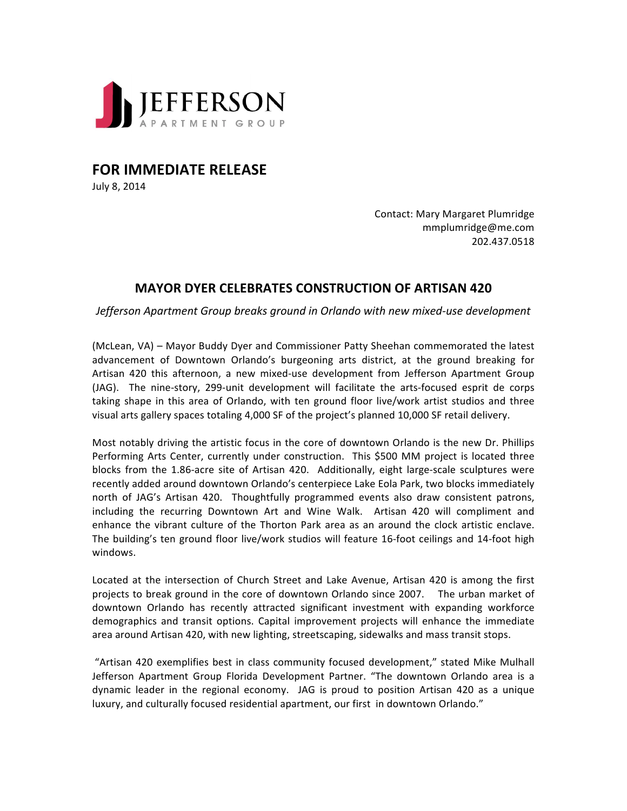

**FOR IMMEDIATE RELEASE** 

July 8, 2014

Contact: Mary Margaret Plumridge mmplumridge@me.com 202.437.0518

## **MAYOR DYER CELEBRATES CONSTRUCTION OF ARTISAN 420**

*Jefferson Apartment Group breaks ground in Orlando with new mixed-use development* 

(McLean, VA) – Mayor Buddy Dyer and Commissioner Patty Sheehan commemorated the latest advancement of Downtown Orlando's burgeoning arts district, at the ground breaking for Artisan 420 this afternoon, a new mixed-use development from Jefferson Apartment Group (JAG). The nine-story, 299-unit development will facilitate the arts-focused esprit de corps taking shape in this area of Orlando, with ten ground floor live/work artist studios and three visual arts gallery spaces totaling 4,000 SF of the project's planned 10,000 SF retail delivery.

Most notably driving the artistic focus in the core of downtown Orlando is the new Dr. Phillips Performing Arts Center, currently under construction. This \$500 MM project is located three blocks from the 1.86-acre site of Artisan 420. Additionally, eight large-scale sculptures were recently added around downtown Orlando's centerpiece Lake Eola Park, two blocks immediately north of JAG's Artisan 420. Thoughtfully programmed events also draw consistent patrons, including the recurring Downtown Art and Wine Walk. Artisan 420 will compliment and enhance the vibrant culture of the Thorton Park area as an around the clock artistic enclave. The building's ten ground floor live/work studios will feature 16-foot ceilings and 14-foot high windows. 

Located at the intersection of Church Street and Lake Avenue, Artisan 420 is among the first projects to break ground in the core of downtown Orlando since 2007. The urban market of downtown Orlando has recently attracted significant investment with expanding workforce demographics and transit options. Capital improvement projects will enhance the immediate area around Artisan 420, with new lighting, streetscaping, sidewalks and mass transit stops.

"Artisan 420 exemplifies best in class community focused development," stated Mike Mulhall Jefferson Apartment Group Florida Development Partner. "The downtown Orlando area is a dynamic leader in the regional economy. JAG is proud to position Artisan 420 as a unique luxury, and culturally focused residential apartment, our first in downtown Orlando."